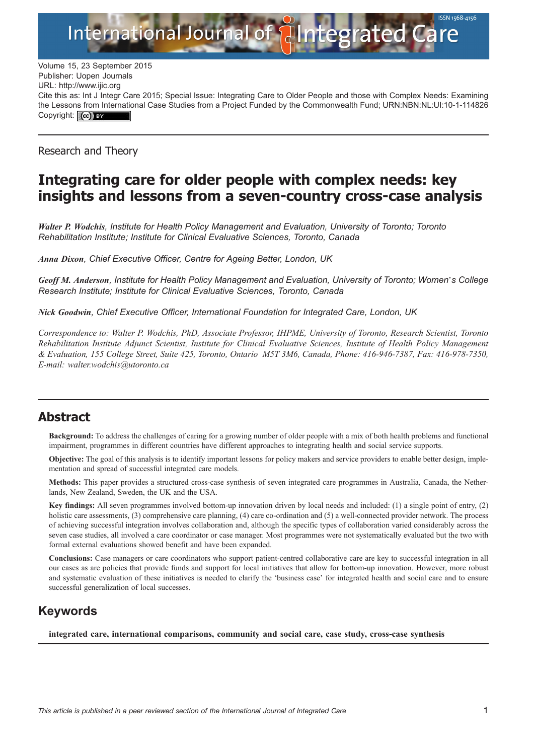

Volume 15, 23 September 2015 Publisher: Uopen Journals URL:<http://www.ijic.org> Cite this as: Int J Integr Care 2015; Special Issue: Integrating Care to Older People and those with Complex Needs: Examining the Lessons from International Case Studies from a Project Funded by the Commonwealth Fund; [URN:NBN:NL:UI:10-1-114826](http://persistent-identifier.nl/?identifier=URN:NBN:NL:UI:10-1-114826) Copyright: (cc) BY

Research and Theory

# Integrating care for older people with complex needs: key insights and lessons from a seven-country cross-case analysis

Walter P. Wodchis, Institute for Health Policy Management and Evaluation, University of Toronto; Toronto Rehabilitation Institute; Institute for Clinical Evaluative Sciences, Toronto, Canada

Anna Dixon, Chief Executive Officer, Centre for Ageing Better, London, UK

Geoff M. Anderson, Institute for Health Policy Management and Evaluation, University of Toronto; Women's College Research Institute; Institute for Clinical Evaluative Sciences, Toronto, Canada

Nick Goodwin, Chief Executive Officer, International Foundation for Integrated Care, London, UK

Correspondence to: Walter P. Wodchis, PhD, Associate Professor, IHPME, University of Toronto, Research Scientist, Toronto Rehabilitation Institute Adjunct Scientist, Institute for Clinical Evaluative Sciences, Institute of Health Policy Management & Evaluation, 155 College Street, Suite 425, Toronto, Ontario M5T 3M6, Canada, Phone: 416-946-7387, Fax: 416-978-7350, E-mail: walter.wodchis@utoronto.ca

### Abstract

Background: To address the challenges of caring for a growing number of older people with a mix of both health problems and functional impairment, programmes in different countries have different approaches to integrating health and social service supports.

Objective: The goal of this analysis is to identify important lessons for policy makers and service providers to enable better design, implementation and spread of successful integrated care models.

Methods: This paper provides a structured cross-case synthesis of seven integrated care programmes in Australia, Canada, the Netherlands, New Zealand, Sweden, the UK and the USA.

Key findings: All seven programmes involved bottom-up innovation driven by local needs and included: (1) a single point of entry, (2) holistic care assessments, (3) comprehensive care planning, (4) care co-ordination and (5) a well-connected provider network. The process of achieving successful integration involves collaboration and, although the specific types of collaboration varied considerably across the seven case studies, all involved a care coordinator or case manager. Most programmes were not systematically evaluated but the two with formal external evaluations showed benefit and have been expanded.

Conclusions: Case managers or care coordinators who support patient-centred collaborative care are key to successful integration in all our cases as are policies that provide funds and support for local initiatives that allow for bottom-up innovation. However, more robust and systematic evaluation of these initiatives is needed to clarify the 'business case' for integrated health and social care and to ensure successful generalization of local successes.

### Keywords

integrated care, international comparisons, community and social care, case study, cross-case synthesis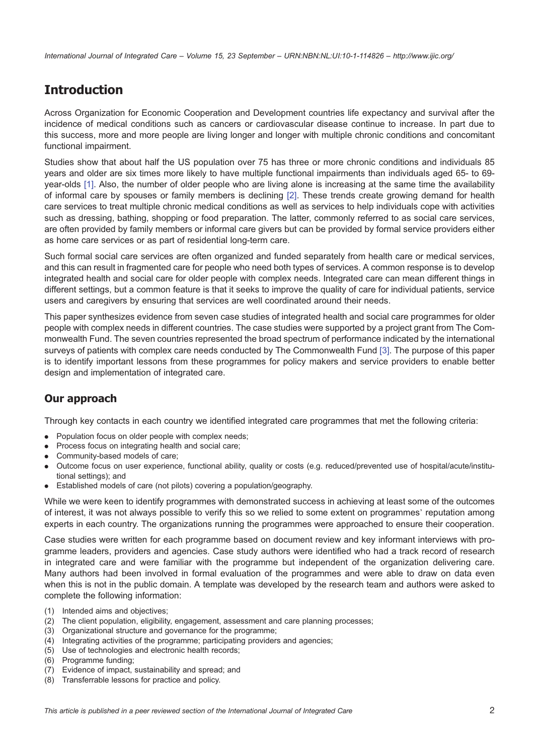International Journal of Integrated Care – Volume 15, 23 September – URN:NBN:NL:UI:10-1-114826 – <http://www.ijic.org/>

# Introduction

Across Organization for Economic Cooperation and Development countries life expectancy and survival after the incidence of medical conditions such as cancers or cardiovascular disease continue to increase. In part due to this success, more and more people are living longer and longer with multiple chronic conditions and concomitant functional impairment.

Studies show that about half the US population over 75 has three or more chronic conditions and individuals 85 years and older are six times more likely to have multiple functional impairments than individuals aged 65- to 69 year-olds [\[1\]](#page-11-0). Also, the number of older people who are living alone is increasing at the same time the availability of informal care by spouses or family members is declining [\[2\].](#page-11-0) These trends create growing demand for health care services to treat multiple chronic medical conditions as well as services to help individuals cope with activities such as dressing, bathing, shopping or food preparation. The latter, commonly referred to as social care services, are often provided by family members or informal care givers but can be provided by formal service providers either as home care services or as part of residential long-term care.

Such formal social care services are often organized and funded separately from health care or medical services, and this can result in fragmented care for people who need both types of services. A common response is to develop integrated health and social care for older people with complex needs. Integrated care can mean different things in different settings, but a common feature is that it seeks to improve the quality of care for individual patients, service users and caregivers by ensuring that services are well coordinated around their needs.

This paper synthesizes evidence from seven case studies of integrated health and social care programmes for older people with complex needs in different countries. The case studies were supported by a project grant from The Commonwealth Fund. The seven countries represented the broad spectrum of performance indicated by the international surveys of patients with complex care needs conducted by The Commonwealth Fund [\[3\]](#page-11-0). The purpose of this paper is to identify important lessons from these programmes for policy makers and service providers to enable better design and implementation of integrated care.

### Our approach

Through key contacts in each country we identified integrated care programmes that met the following criteria:

- . Population focus on older people with complex needs;
- . Process focus on integrating health and social care;
- . Community-based models of care;
- . Outcome focus on user experience, functional ability, quality or costs (e.g. reduced/prevented use of hospital/acute/institutional settings); and
- . Established models of care (not pilots) covering a population/geography.

While we were keen to identify programmes with demonstrated success in achieving at least some of the outcomes of interest, it was not always possible to verify this so we relied to some extent on programmes' reputation among experts in each country. The organizations running the programmes were approached to ensure their cooperation.

Case studies were written for each programme based on document review and key informant interviews with programme leaders, providers and agencies. Case study authors were identified who had a track record of research in integrated care and were familiar with the programme but independent of the organization delivering care. Many authors had been involved in formal evaluation of the programmes and were able to draw on data even when this is not in the public domain. A template was developed by the research team and authors were asked to complete the following information:

- (1) Intended aims and objectives;
- (2) The client population, eligibility, engagement, assessment and care planning processes;
- (3) Organizational structure and governance for the programme;
- (4) Integrating activities of the programme; participating providers and agencies;
- (5) Use of technologies and electronic health records;
- (6) Programme funding;
- (7) Evidence of impact, sustainability and spread; and
- (8) Transferrable lessons for practice and policy.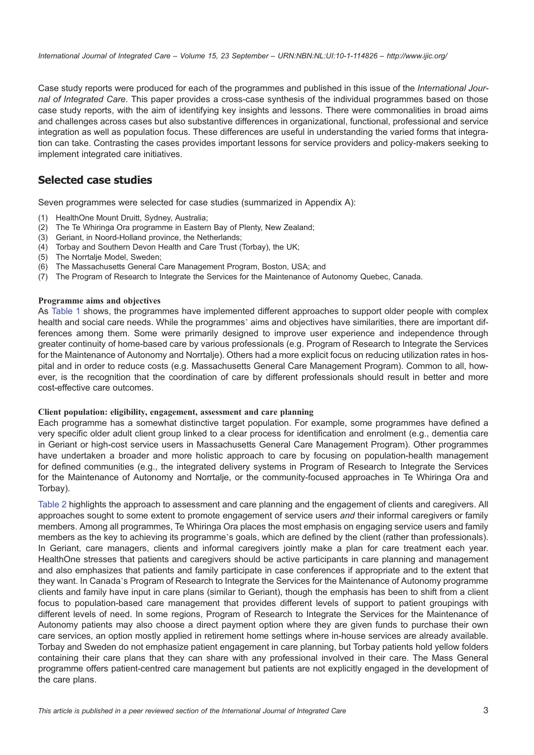Case study reports were produced for each of the programmes and published in this issue of the International Journal of Integrated Care. This paper provides a cross-case synthesis of the individual programmes based on those case study reports, with the aim of identifying key insights and lessons. There were commonalities in broad aims and challenges across cases but also substantive differences in organizational, functional, professional and service integration as well as population focus. These differences are useful in understanding the varied forms that integration can take. Contrasting the cases provides important lessons for service providers and policy-makers seeking to implement integrated care initiatives.

### Selected case studies

Seven programmes were selected for case studies (summarized in Appendix A):

- (1) HealthOne Mount Druitt, Sydney, Australia;
- (2) The Te Whiringa Ora programme in Eastern Bay of Plenty, New Zealand;
- (3) Geriant, in Noord-Holland province, the Netherlands;
- (4) Torbay and Southern Devon Health and Care Trust (Torbay), the UK;
- (5) The Norrtalje Model, Sweden;
- (6) The Massachusetts General Care Management Program, Boston, USA; and
- (7) The Program of Research to Integrate the Services for the Maintenance of Autonomy Quebec, Canada.

#### Programme aims and objectives

As [Table 1](#page-3-0) shows, the programmes have implemented different approaches to support older people with complex health and social care needs. While the programmes' aims and objectives have similarities, there are important differences among them. Some were primarily designed to improve user experience and independence through greater continuity of home-based care by various professionals (e.g. Program of Research to Integrate the Services for the Maintenance of Autonomy and Norrtalje). Others had a more explicit focus on reducing utilization rates in hospital and in order to reduce costs (e.g. Massachusetts General Care Management Program). Common to all, however, is the recognition that the coordination of care by different professionals should result in better and more cost-effective care outcomes.

#### Client population: eligibility, engagement, assessment and care planning

Each programme has a somewhat distinctive target population. For example, some programmes have defined a very specific older adult client group linked to a clear process for identification and enrolment (e.g., dementia care in Geriant or high-cost service users in Massachusetts General Care Management Program). Other programmes have undertaken a broader and more holistic approach to care by focusing on population-health management for defined communities (e.g., the integrated delivery systems in Program of Research to Integrate the Services for the Maintenance of Autonomy and Norrtalje, or the community-focused approaches in Te Whiringa Ora and Torbay).

[Table 2](#page-4-0) highlights the approach to assessment and care planning and the engagement of clients and caregivers. All approaches sought to some extent to promote engagement of service users and their informal caregivers or family members. Among all programmes, Te Whiringa Ora places the most emphasis on engaging service users and family members as the key to achieving its programme's goals, which are defined by the client (rather than professionals). In Geriant, care managers, clients and informal caregivers jointly make a plan for care treatment each year. HealthOne stresses that patients and caregivers should be active participants in care planning and management and also emphasizes that patients and family participate in case conferences if appropriate and to the extent that they want. In Canada's Program of Research to Integrate the Services for the Maintenance of Autonomy programme clients and family have input in care plans (similar to Geriant), though the emphasis has been to shift from a client focus to population-based care management that provides different levels of support to patient groupings with different levels of need. In some regions, Program of Research to Integrate the Services for the Maintenance of Autonomy patients may also choose a direct payment option where they are given funds to purchase their own care services, an option mostly applied in retirement home settings where in-house services are already available. Torbay and Sweden do not emphasize patient engagement in care planning, but Torbay patients hold yellow folders containing their care plans that they can share with any professional involved in their care. The Mass General programme offers patient-centred care management but patients are not explicitly engaged in the development of the care plans.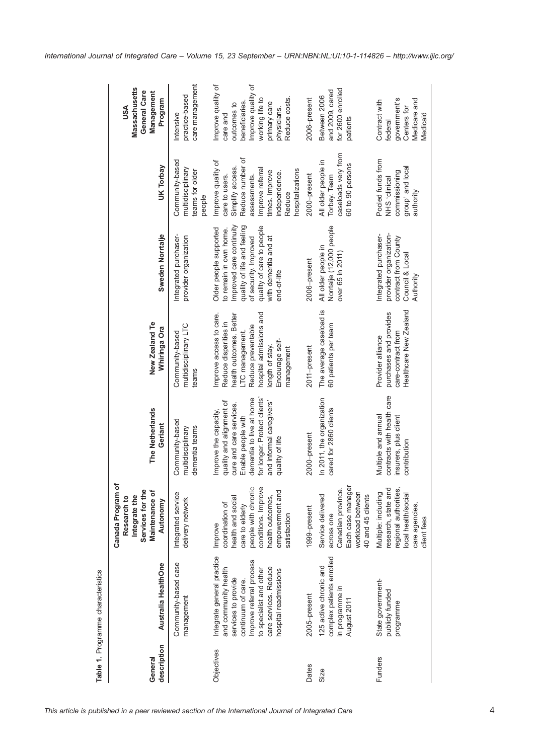<span id="page-3-0"></span>

|                        | Table 1. Programme characteristics                                                                                                                                                                       |                                                                                                                                                                         |                                                                                                                                                                                                              |                                                                                                                                                                                                    |                                                                                                                                                                                                          |                                                                                                                                                                                  |                                                                                                                                                          |
|------------------------|----------------------------------------------------------------------------------------------------------------------------------------------------------------------------------------------------------|-------------------------------------------------------------------------------------------------------------------------------------------------------------------------|--------------------------------------------------------------------------------------------------------------------------------------------------------------------------------------------------------------|----------------------------------------------------------------------------------------------------------------------------------------------------------------------------------------------------|----------------------------------------------------------------------------------------------------------------------------------------------------------------------------------------------------------|----------------------------------------------------------------------------------------------------------------------------------------------------------------------------------|----------------------------------------------------------------------------------------------------------------------------------------------------------|
| description<br>General | Australia HealthOne                                                                                                                                                                                      | Canada Program of<br>Services for the<br>Maintenance of<br>Integrate the<br>Research to<br>Autonomy                                                                     | <b>The Netherlands</b><br>Geriant                                                                                                                                                                            | New Zealand Te<br>Whiringa Ora                                                                                                                                                                     | Sweden Norrtalje                                                                                                                                                                                         | UK Torbay                                                                                                                                                                        | Massachusetts<br>General Care<br>Management<br>Program<br>USA                                                                                            |
|                        | Community-based case<br>management                                                                                                                                                                       | Integrated service<br>delivery network                                                                                                                                  | Community-based<br>dementia teams<br>multidisciplinary                                                                                                                                                       | multidisciplinary LTC<br>Community-based<br>teams                                                                                                                                                  | Integrated purchaser-<br>provider organization                                                                                                                                                           | Community-based<br>multidisciplinary<br>teams for older<br>people                                                                                                                | care management<br>practice-based<br>htensive                                                                                                            |
| Objectives             | Integrate general practice<br>Improve referral process<br>care services. Reduce<br>and community health<br>to specialist and other<br>hospital readmissions<br>services to provide<br>continuum of care. | people with chronic<br>conditions. Improve<br>empowerment and<br>health and social<br>health outcomes,<br>coordination of<br>care to elderly<br>satisfaction<br>Improve | for longer. Protect clients<br>dementia to live at home<br>quality and alignment of<br>and informal caregivers'<br>cure and care services.<br>improve the capacity,<br>Enable people with<br>quality of life | hospital admissions and<br>mprove access to care.<br>health outcomes. Better<br>Reduce disparities in<br>Reduce preventable<br>LTC management.<br>Encourage self-<br>length of stay.<br>management | Improved care continuity<br>quality of life and feeling<br>quality of care to people<br>Older people supported<br>to remain in own home.<br>with dementia and at<br>of security. Improved<br>end-of-life | Reduce number of<br>Improve quality of<br>Simplify access.<br>Improve referral<br>hospitalizations<br>times. Improve<br>ndependence.<br>assessments.<br>care to users.<br>Reduce | Improve quality of<br>Improve quality of<br>Reduce costs.<br>working life to<br>beneficiaries.<br>primary care<br>outcomes to<br>physicians.<br>care and |
| Dates                  | 2005-present                                                                                                                                                                                             | 1999-present                                                                                                                                                            | 2000-present                                                                                                                                                                                                 | 2011-present                                                                                                                                                                                       | 2006-present                                                                                                                                                                                             | 2000-present                                                                                                                                                                     | 2006-present                                                                                                                                             |
| Size                   | complex patients enrolled<br>125 active chronic and<br>in programme in<br>August 2011                                                                                                                    | Each case manager<br>Canadian province.<br>workload between<br>Service delivered<br>40 and 45 clients<br>across one                                                     | In 2011, the organization<br>cared for 2860 clients                                                                                                                                                          | The average caseload is<br>60 patients per team                                                                                                                                                    | Norrtalje (12,000 people<br>All older people in<br>over 65 in 2011)                                                                                                                                      | caseloads very from<br>All older people in<br>60 to 90 persons<br>Torbay. Team                                                                                                   | for 2600 enrolled<br>and 2009, cared<br>Between 2006<br>patients                                                                                         |
| Funders                | State government-<br>publicly funded<br>programme                                                                                                                                                        | research, state and<br>regional authorities,<br>Multiple: including<br>local health/social<br>care agencies,<br>client fees                                             | contracts with health care<br>Multiple and annual<br>insurers, plus dient<br>contribution                                                                                                                    | Healthcare New Zealand<br>purchases and provides<br>care-contract from<br>Provider alliance                                                                                                        | Integrated purchaser-<br>provider organization-<br>contract from County<br>Council & Local<br>Authority                                                                                                  | Pooled funds from<br>group' and local<br>commissioning<br>NHS dinical<br>authority                                                                                               | government's<br>Medicare and<br>Contract with<br>Centers for<br>Medicaid<br>federal                                                                      |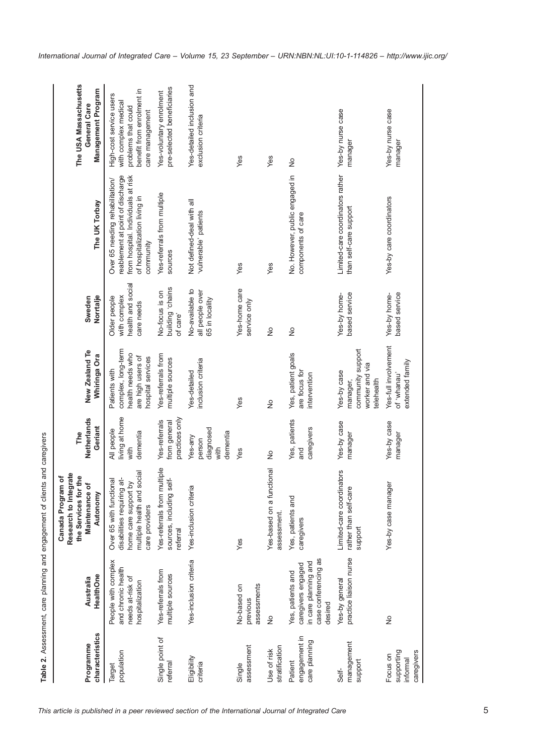<span id="page-4-0"></span>

| characteristics<br>Programme                     | HealthOne<br>Australia                                                                             | ate<br>Canada Program of<br>the Services for the<br>Research to Integr<br>Maintenance of<br>Autonomy                          | Netherlands<br>Geriant<br>The                      | New Zealand Te<br>Whiringa Ora                                                                    | Norrtalje<br>Sweden                                             | The UK Torbay                                                                                                                                          | The USA Massachusetts<br>Management Program<br>General Care                                                            |
|--------------------------------------------------|----------------------------------------------------------------------------------------------------|-------------------------------------------------------------------------------------------------------------------------------|----------------------------------------------------|---------------------------------------------------------------------------------------------------|-----------------------------------------------------------------|--------------------------------------------------------------------------------------------------------------------------------------------------------|------------------------------------------------------------------------------------------------------------------------|
| population<br>Target                             | People with complex<br>and chronic health<br>needs at-risk of<br>hospitalization                   | multiple health and social<br>Over 65 with functional<br>disabilities requiring at-<br>home care support by<br>care providers | living at home<br>All people<br>dementia<br>with   | complex, long-term<br>health needs who<br>are high users of<br>hospital services<br>Patients with | health and social<br>with complex<br>Older people<br>care needs | reablement at point of discharge<br>from hospital. Individuals at risk<br>Over 65 needing rehabilitation/<br>of hospitalization living in<br>community | benefit from enrolment in<br>High-cost service users<br>with complex medical<br>problems that could<br>care management |
| Single point of<br>referral                      | Yes-referrals from<br>multiple sources                                                             | Yes-referrals from multiple<br>sources, including self-<br>referral                                                           | practices only<br>from general<br>Yes-referrals    | Yes-referrals from<br>multiple sources                                                            | suiado <sup>,</sup> Buiplind<br>No-focus is on<br>of care'      | Yes-referrals from multiple<br>sources                                                                                                                 | pre-selected beneficiaries<br>Yes-voluntary enrolment                                                                  |
| Eligibility<br>criteria                          | Yes-inclusion criteria                                                                             | Yes-inclusion criteria                                                                                                        | diagnosed<br>dementia<br>Yes-any<br>person<br>with | inclusion criteria<br>Yes-detailed                                                                | No-available to<br>all people over<br>65 in locality            | Not defined-deal with all<br>'vulnerable' patients                                                                                                     | Yes-detailed inclusion and<br>exclusion criteria                                                                       |
| assessment<br>Single                             | assessments<br>No-based on<br>previous                                                             | Yes                                                                                                                           | Yes                                                | Yes                                                                                               | Yes-home care<br>service only                                   | Yes                                                                                                                                                    | Yes                                                                                                                    |
| stratification<br>Use of risk                    | $\frac{1}{2}$                                                                                      | Yes-based on a functional<br>assessment.                                                                                      | $\frac{1}{2}$                                      | $\frac{1}{2}$                                                                                     | $\frac{1}{2}$                                                   | Yes                                                                                                                                                    | Yes                                                                                                                    |
| engagement in<br>care planning<br>Patient        | case conferencing as<br>in care planning and<br>caregivers engaged<br>Yes, patients and<br>desired | Yes, patients and<br>caregivers                                                                                               | Yes, patients<br>caregivers<br>pue                 | Yes, patient goals<br>are focus for<br>intervention                                               | $\frac{1}{2}$                                                   | No. However, public engaged in<br>components of care                                                                                                   | $\frac{1}{2}$                                                                                                          |
| management<br>support<br>Self-                   | practice liaison nurse<br>Yes-by general                                                           | Limited-care coordinators<br>rather than self-care<br>support                                                                 | Yes-by case<br>manager                             | community support<br>worker and via<br>Yes-by case<br>elehealth<br>manager,                       | Yes-by home-<br>based service                                   | Limited-care coordinators rather<br>than self-care support                                                                                             | Yes-by nurse case<br>manager                                                                                           |
| supporting<br>caregivers<br>Focus on<br>informal | $\frac{1}{2}$                                                                                      | Yes-by case manager                                                                                                           | Yes-by case<br>manager                             | Yes-full involvement<br>extended family<br>'usnanau' fo                                           | Yes-by home-<br>based service                                   | Yes-by care coordinators                                                                                                                               | Yes-by nurse case<br>manager                                                                                           |

Table 2. Assessment, care planning and engagement of clients and caregivers Table 2. Assessment, care planning and engagement of clients and caregivers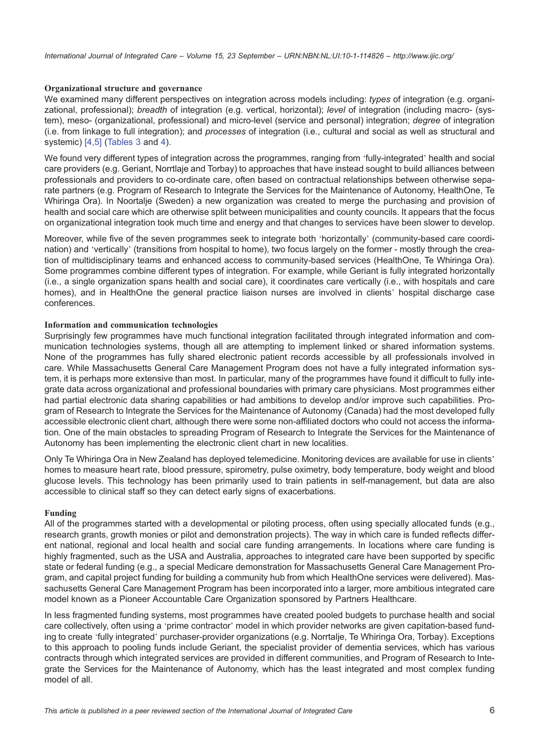#### Organizational structure and governance

We examined many different perspectives on integration across models including: types of integration (e.g. organizational, professional); breadth of integration (e.g. vertical, horizontal); level of integration (including macro- (system), meso- (organizational, professional) and micro-level (service and personal) integration; degree of integration (i.e. from linkage to full integration); and processes of integration (i.e., cultural and social as well as structural and systemic) [\[4,5\]](#page-11-0) ([Tables 3](#page-6-0) and [4\)](#page-7-0).

We found very different types of integration across the programmes, ranging from 'fully-integrated' health and social care providers (e.g. Geriant, Norrtlaje and Torbay) to approaches that have instead sought to build alliances between professionals and providers to co-ordinate care, often based on contractual relationships between otherwise separate partners (e.g. Program of Research to Integrate the Services for the Maintenance of Autonomy, HealthOne, Te Whiringa Ora). In Noortalje (Sweden) a new organization was created to merge the purchasing and provision of health and social care which are otherwise split between municipalities and county councils. It appears that the focus on organizational integration took much time and energy and that changes to services have been slower to develop.

Moreover, while five of the seven programmes seek to integrate both 'horizontally' (community-based care coordination) and 'vertically' (transitions from hospital to home), two focus largely on the former - mostly through the creation of multidisciplinary teams and enhanced access to community-based services (HealthOne, Te Whiringa Ora). Some programmes combine different types of integration. For example, while Geriant is fully integrated horizontally (i.e., a single organization spans health and social care), it coordinates care vertically (i.e., with hospitals and care homes), and in HealthOne the general practice liaison nurses are involved in clients' hospital discharge case conferences.

#### Information and communication technologies

Surprisingly few programmes have much functional integration facilitated through integrated information and communication technologies systems, though all are attempting to implement linked or shared information systems. None of the programmes has fully shared electronic patient records accessible by all professionals involved in care. While Massachusetts General Care Management Program does not have a fully integrated information system, it is perhaps more extensive than most. In particular, many of the programmes have found it difficult to fully integrate data across organizational and professional boundaries with primary care physicians. Most programmes either had partial electronic data sharing capabilities or had ambitions to develop and/or improve such capabilities. Program of Research to Integrate the Services for the Maintenance of Autonomy (Canada) had the most developed fully accessible electronic client chart, although there were some non-affiliated doctors who could not access the information. One of the main obstacles to spreading Program of Research to Integrate the Services for the Maintenance of Autonomy has been implementing the electronic client chart in new localities.

Only Te Whiringa Ora in New Zealand has deployed telemedicine. Monitoring devices are available for use in clients' homes to measure heart rate, blood pressure, spirometry, pulse oximetry, body temperature, body weight and blood glucose levels. This technology has been primarily used to train patients in self-management, but data are also accessible to clinical staff so they can detect early signs of exacerbations.

#### Funding

All of the programmes started with a developmental or piloting process, often using specially allocated funds (e.g., research grants, growth monies or pilot and demonstration projects). The way in which care is funded reflects different national, regional and local health and social care funding arrangements. In locations where care funding is highly fragmented, such as the USA and Australia, approaches to integrated care have been supported by specific state or federal funding (e.g., a special Medicare demonstration for Massachusetts General Care Management Program, and capital project funding for building a community hub from which HealthOne services were delivered). Massachusetts General Care Management Program has been incorporated into a larger, more ambitious integrated care model known as a Pioneer Accountable Care Organization sponsored by Partners Healthcare.

In less fragmented funding systems, most programmes have created pooled budgets to purchase health and social care collectively, often using a 'prime contractor' model in which provider networks are given capitation-based funding to create 'fully integrated' purchaser-provider organizations (e.g. Norrtalje, Te Whiringa Ora, Torbay). Exceptions to this approach to pooling funds include Geriant, the specialist provider of dementia services, which has various contracts through which integrated services are provided in different communities, and Program of Research to Integrate the Services for the Maintenance of Autonomy, which has the least integrated and most complex funding model of all.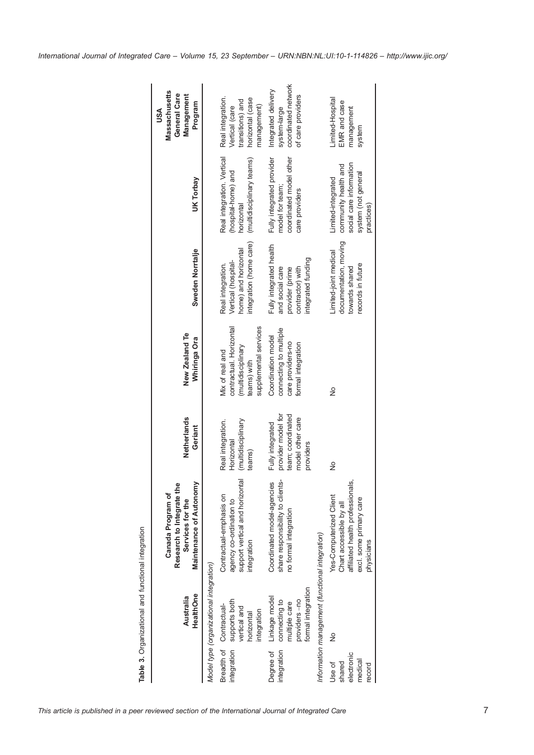<span id="page-6-0"></span>

|                                                     | HealthOne<br>Australia                                                                | <b>Maintenance of Autonomy</b><br>٥<br>Research to Integrate the<br>Canada Program of<br>Services for the                       | Netherlands<br>Geriant                                                                       | New Zealand Te<br>Whiringa Ora                                                                            | Sweden Norrtalje                                                                                        | UK Torbay                                                                                                  | <b>Massachusetts</b><br>General Care<br>Management<br>Program<br>USA                      |
|-----------------------------------------------------|---------------------------------------------------------------------------------------|---------------------------------------------------------------------------------------------------------------------------------|----------------------------------------------------------------------------------------------|-----------------------------------------------------------------------------------------------------------|---------------------------------------------------------------------------------------------------------|------------------------------------------------------------------------------------------------------------|-------------------------------------------------------------------------------------------|
|                                                     | Model type (organizational integration)                                               |                                                                                                                                 |                                                                                              |                                                                                                           |                                                                                                         |                                                                                                            |                                                                                           |
| integration                                         | supports both<br>Breadth of Contractual-<br>vertical and<br>integration<br>horizontal | support vertical and horizontal<br>Contractual-emphasis on<br>agency co-ordination to<br>ntegration                             | Real integration.<br>(multidisciplinary<br>Horizontal<br>teams)                              | supplemental services<br>contractual. Horizontal<br>(multidisciplinary)<br>Mix of real and<br>teams) with | integration (home care)<br>home) and horizontal<br>Vertical (hospital-<br>Real integration.             | Real integration. Vertical<br>(multidisciplinary teams)<br>(hospital-home) and<br>horizontal               | Real integration.<br>horizontal (case<br>ransitions) and<br>management)<br>Vertical (care |
| integration<br>Degree of                            | formal integration<br>Linkage model<br>connecting to<br>providers-no<br>multiple care | ts-<br>Coordinated model-agencies<br>share responsibility to client<br>no formal integration                                    | provider model for<br>team; coordinated<br>model other care<br>Fully integrated<br>providers | connecting to multiple<br>Coordination model<br>care providers-no<br>formal integration                   | Fully integrated health<br>integrated funding<br>and social care<br>contractor) with<br>provider (prime | Fully integrated provider<br>coordinated model other<br>model for team;<br>care providers                  | coordinated network<br>Integrated delivery<br>of care providers<br>system-large           |
|                                                     | Information management (functional integration)                                       |                                                                                                                                 |                                                                                              |                                                                                                           |                                                                                                         |                                                                                                            |                                                                                           |
| electronic<br>medical<br>shared<br>Use of<br>record | ş                                                                                     | affiliated health professionals,<br>Yes-Computerized Client<br>excl. some primary care<br>Chart accessible by all<br>physicians | ş                                                                                            | ž                                                                                                         | documentation, moving<br>Limited-joint medical<br>records in future<br>towards shared                   | social care information<br>community health and<br>system (not general<br>Limited-integrated<br>practices) | imited-Hospital<br>EMR and case<br>management<br>system                                   |
|                                                     |                                                                                       |                                                                                                                                 |                                                                                              |                                                                                                           |                                                                                                         |                                                                                                            |                                                                                           |

Table 3. Organizational and functional integration Table 3. Organizational and functional integration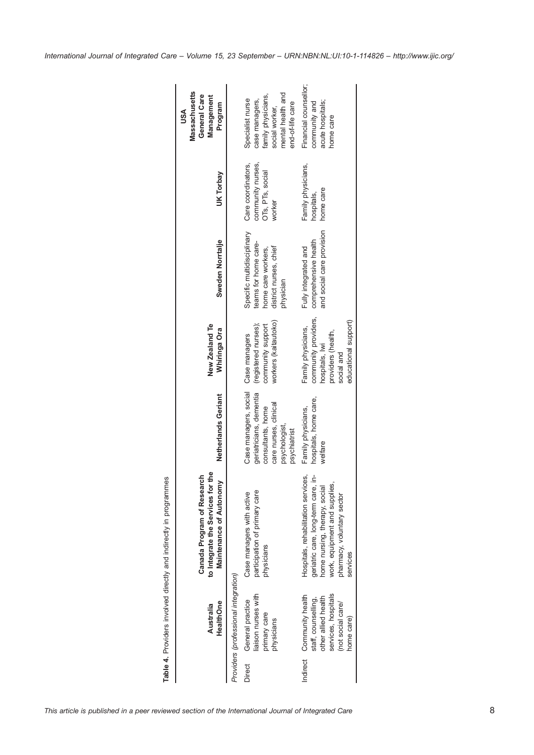<span id="page-7-0"></span>

|        | HealthOne<br>Australia                                                                                                            | the<br>Canada Program of Research<br><b>Maintenance of Autonomy</b><br>to Integrate the Services for                                                                                     | Netherlands Geriant                                                                                                             | New Zealand Te<br>Whiringa Ora                                                                                           | Sweden Norrtalje                                                                                                | UK Torbay                                                             | <b>Massachusetts</b><br>General Care<br>Management<br>Program<br>USA                                                |
|--------|-----------------------------------------------------------------------------------------------------------------------------------|------------------------------------------------------------------------------------------------------------------------------------------------------------------------------------------|---------------------------------------------------------------------------------------------------------------------------------|--------------------------------------------------------------------------------------------------------------------------|-----------------------------------------------------------------------------------------------------------------|-----------------------------------------------------------------------|---------------------------------------------------------------------------------------------------------------------|
|        | Providers (professional integration)                                                                                              |                                                                                                                                                                                          |                                                                                                                                 |                                                                                                                          |                                                                                                                 |                                                                       |                                                                                                                     |
| Direct | liaison nurses with<br>General practice<br>primary care<br>physicians                                                             | participation of primary care<br>Case managers with active<br>physicians                                                                                                                 | Case managers, social<br>geriatricians, dementia<br>care nurses, clinical<br>consultants, home<br>psychologist,<br>psychiatrist | workers (kaitautoko)<br>(registered nurses);<br>community support<br>Case managers                                       | Specific multidisciplinary<br>teams for home care-<br>district nurses, chief<br>home care workers,<br>physician | Care coordinators,<br>community nurses,<br>OTs, PTs, social<br>worker | mental health and<br>family physicians,<br>Specialist nurse<br>case managers,<br>end-of-life care<br>social worker, |
|        | services, hospitals<br>Indirect Community health<br>other allied health<br>staff, counselling,<br>(not social care/<br>home care) | Hospitals, rehabilitation services,<br>≜.<br>work, equipment and supplies,<br>geriatric care, long-term care,<br>home nursing, therapy, social<br>pharmacy, voluntary sector<br>services | hospitals, home care,<br>Family physicians,<br>welfare                                                                          | community providers,<br>educational support)<br>Family physicians,<br>providers (health,<br>hospitals, Iwi<br>social and | and social care provision<br>comprehensive health<br>Fully integrated and                                       | Family physicians,<br>home care<br>hospitals,                         | Financial counsellor;<br>acute hospitals;<br>community and<br>home care                                             |

Table 4. Providers involved directly and indirectly in programmes Table 4. Providers involved directly and indirectly in programmes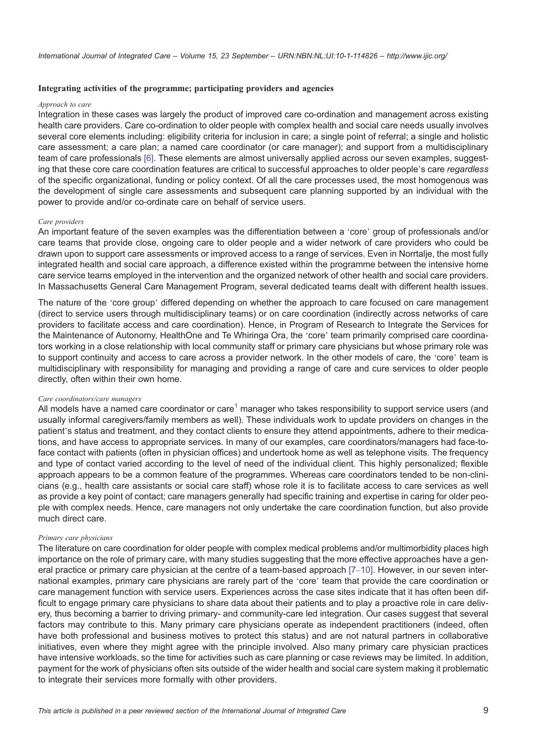#### Integrating activities of the programme; participating providers and agencies

#### Approach to care

Integration in these cases was largely the product of improved care co-ordination and management across existing health care providers. Care co-ordination to older people with complex health and social care needs usually involves several core elements including: eligibility criteria for inclusion in care; a single point of referral; a single and holistic care assessment; a care plan; a named care coordinator (or care manager); and support from a multidisciplinary team of care professionals [\[6\]](#page-12-0). These elements are almost universally applied across our seven examples, suggesting that these core care coordination features are critical to successful approaches to older people's care regardless of the specific organizational, funding or policy context. Of all the care processes used, the most homogenous was the development of single care assessments and subsequent care planning supported by an individual with the power to provide and/or co-ordinate care on behalf of service users.

#### Care providers

An important feature of the seven examples was the differentiation between a 'core' group of professionals and/or care teams that provide close, ongoing care to older people and a wider network of care providers who could be drawn upon to support care assessments or improved access to a range of services. Even in Norrtalje, the most fully integrated health and social care approach, a difference existed within the programme between the intensive home care service teams employed in the intervention and the organized network of other health and social care providers. In Massachusetts General Care Management Program, several dedicated teams dealt with different health issues.

The nature of the 'core group' differed depending on whether the approach to care focused on care management (direct to service users through multidisciplinary teams) or on care coordination (indirectly across networks of care providers to facilitate access and care coordination). Hence, in Program of Research to Integrate the Services for the Maintenance of Autonomy, HealthOne and Te Whiringa Ora, the 'core' team primarily comprised care coordinators working in a close relationship with local community staff or primary care physicians but whose primary role was to support continuity and access to care across a provider network. In the other models of care, the 'core' team is multidisciplinary with responsibility for managing and providing a range of care and cure services to older people directly, often within their own home.

#### Care coordinators/care managers

All models have a named care coordinator or care<sup>1</sup> manager who takes responsibility to support service users (and usually informal caregivers/family members as well). These individuals work to update providers on changes in the patient's status and treatment, and they contact clients to ensure they attend appointments, adhere to their medications, and have access to appropriate services. In many of our examples, care coordinators/managers had face-toface contact with patients (often in physician offices) and undertook home as well as telephone visits. The frequency and type of contact varied according to the level of need of the individual client. This highly personalized; flexible approach appears to be a common feature of the programmes. Whereas care coordinators tended to be non-clinicians (e.g., health care assistants or social care staff) whose role it is to facilitate access to care services as well as provide a key point of contact; care managers generally had specific training and expertise in caring for older people with complex needs. Hence, care managers not only undertake the care coordination function, but also provide much direct care.

#### Primary care physicians

The literature on care coordination for older people with complex medical problems and/or multimorbidity places high importance on the role of primary care, with many studies suggesting that the more effective approaches have a general practice or primary care physician at the centre of a team-based approach [\[7](#page-12-0)–[10\].](#page-12-0) However, in our seven international examples, primary care physicians are rarely part of the 'core' team that provide the care coordination or care management function with service users. Experiences across the case sites indicate that it has often been difficult to engage primary care physicians to share data about their patients and to play a proactive role in care delivery, thus becoming a barrier to driving primary- and community-care led integration. Our cases suggest that several factors may contribute to this. Many primary care physicians operate as independent practitioners (indeed, often have both professional and business motives to protect this status) and are not natural partners in collaborative initiatives, even where they might agree with the principle involved. Also many primary care physician practices have intensive workloads, so the time for activities such as care planning or case reviews may be limited. In addition, payment for the work of physicians often sits outside of the wider health and social care system making it problematic to integrate their services more formally with other providers.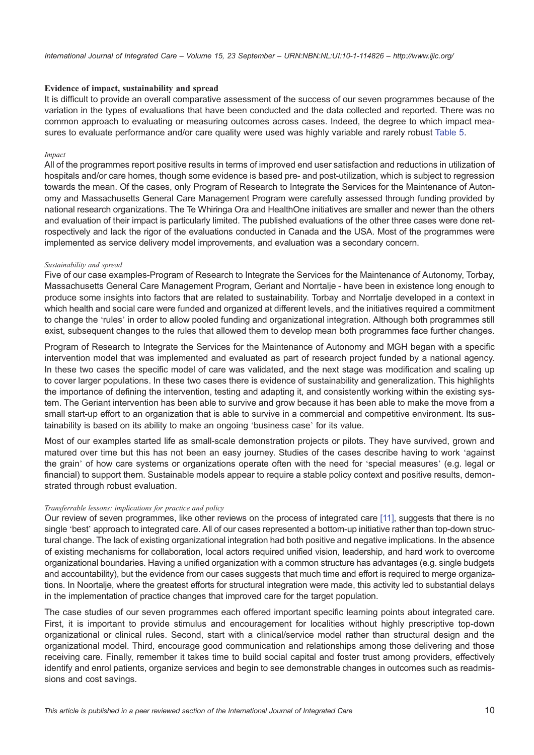#### Evidence of impact, sustainability and spread

It is difficult to provide an overall comparative assessment of the success of our seven programmes because of the variation in the types of evaluations that have been conducted and the data collected and reported. There was no common approach to evaluating or measuring outcomes across cases. Indeed, the degree to which impact measures to evaluate performance and/or care quality were used was highly variable and rarely robust [Table 5](#page-10-0).

#### Impact

All of the programmes report positive results in terms of improved end user satisfaction and reductions in utilization of hospitals and/or care homes, though some evidence is based pre- and post-utilization, which is subject to regression towards the mean. Of the cases, only Program of Research to Integrate the Services for the Maintenance of Autonomy and Massachusetts General Care Management Program were carefully assessed through funding provided by national research organizations. The Te Whiringa Ora and HealthOne initiatives are smaller and newer than the others and evaluation of their impact is particularly limited. The published evaluations of the other three cases were done retrospectively and lack the rigor of the evaluations conducted in Canada and the USA. Most of the programmes were implemented as service delivery model improvements, and evaluation was a secondary concern.

#### Sustainability and spread

Five of our case examples-Program of Research to Integrate the Services for the Maintenance of Autonomy, Torbay, Massachusetts General Care Management Program, Geriant and Norrtalje - have been in existence long enough to produce some insights into factors that are related to sustainability. Torbay and Norrtalje developed in a context in which health and social care were funded and organized at different levels, and the initiatives required a commitment to change the 'rules' in order to allow pooled funding and organizational integration. Although both programmes still exist, subsequent changes to the rules that allowed them to develop mean both programmes face further changes.

Program of Research to Integrate the Services for the Maintenance of Autonomy and MGH began with a specific intervention model that was implemented and evaluated as part of research project funded by a national agency. In these two cases the specific model of care was validated, and the next stage was modification and scaling up to cover larger populations. In these two cases there is evidence of sustainability and generalization. This highlights the importance of defining the intervention, testing and adapting it, and consistently working within the existing system. The Geriant intervention has been able to survive and grow because it has been able to make the move from a small start-up effort to an organization that is able to survive in a commercial and competitive environment. Its sustainability is based on its ability to make an ongoing 'business case' for its value.

Most of our examples started life as small-scale demonstration projects or pilots. They have survived, grown and matured over time but this has not been an easy journey. Studies of the cases describe having to work 'against the grain' of how care systems or organizations operate often with the need for 'special measures' (e.g. legal or financial) to support them. Sustainable models appear to require a stable policy context and positive results, demonstrated through robust evaluation.

#### Transferrable lessons: implications for practice and policy

Our review of seven programmes, like other reviews on the process of integrated care [\[11\]](#page-12-0), suggests that there is no single 'best' approach to integrated care. All of our cases represented a bottom-up initiative rather than top-down structural change. The lack of existing organizational integration had both positive and negative implications. In the absence of existing mechanisms for collaboration, local actors required unified vision, leadership, and hard work to overcome organizational boundaries. Having a unified organization with a common structure has advantages (e.g. single budgets and accountability), but the evidence from our cases suggests that much time and effort is required to merge organizations. In Noortalje, where the greatest efforts for structural integration were made, this activity led to substantial delays in the implementation of practice changes that improved care for the target population.

The case studies of our seven programmes each offered important specific learning points about integrated care. First, it is important to provide stimulus and encouragement for localities without highly prescriptive top-down organizational or clinical rules. Second, start with a clinical/service model rather than structural design and the organizational model. Third, encourage good communication and relationships among those delivering and those receiving care. Finally, remember it takes time to build social capital and foster trust among providers, effectively identify and enrol patients, organize services and begin to see demonstrable changes in outcomes such as readmissions and cost savings.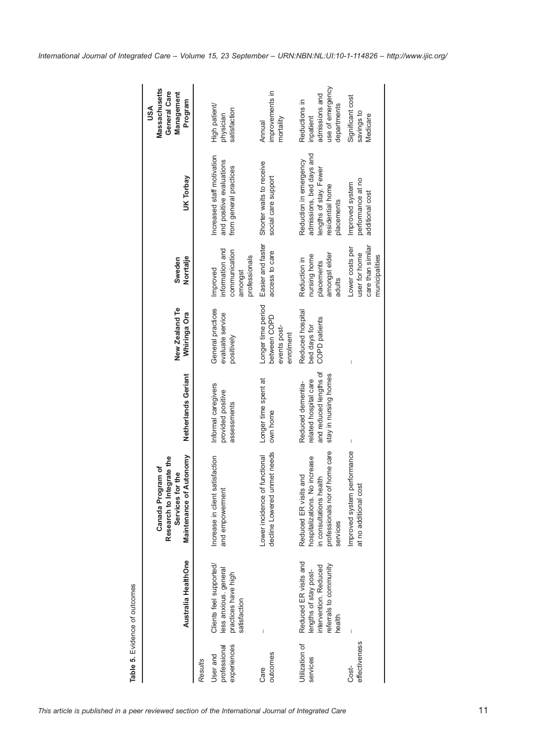<span id="page-10-0"></span>

|                                         | Australia HealthOne                                                                                         | <b>Maintenance of Autonomy</b><br>Research to Integrate the<br>Canada Program of<br>Services for the                            | Netherlands Geriant                                                                                                                                                                                                                                                                                                                                                                                            | New Zealand Te<br>Whiringa Ora                                  | Norrtalje<br>Sweden                                                      | UK Torbay                                                                                                      | <b>Massachusetts</b><br>General Care<br>Management<br>Program<br>USA            |
|-----------------------------------------|-------------------------------------------------------------------------------------------------------------|---------------------------------------------------------------------------------------------------------------------------------|----------------------------------------------------------------------------------------------------------------------------------------------------------------------------------------------------------------------------------------------------------------------------------------------------------------------------------------------------------------------------------------------------------------|-----------------------------------------------------------------|--------------------------------------------------------------------------|----------------------------------------------------------------------------------------------------------------|---------------------------------------------------------------------------------|
| Results                                 |                                                                                                             |                                                                                                                                 |                                                                                                                                                                                                                                                                                                                                                                                                                |                                                                 |                                                                          |                                                                                                                |                                                                                 |
| experiences<br>professional<br>User and | Clients feel supported/<br>less anxious. general<br>practices have high<br>satisfaction                     | Increase in client satisfaction<br>and empowerment                                                                              | Informal caregivers<br>provided positive<br>assessments                                                                                                                                                                                                                                                                                                                                                        | General practices<br>evaluate service<br>positively             | information and<br>communication<br>professionals<br>Improved<br>amongst | Increased staff motivation<br>and positive evaluations<br>from general practices                               | High patient/<br>satisfaction<br>physician                                      |
| outcomes<br>Care                        |                                                                                                             | decline Lowered unmet needs<br>functional<br>Lower incidence of                                                                 | Longer time spent at<br>own home                                                                                                                                                                                                                                                                                                                                                                               | Longer time period<br>between COPD<br>events post-<br>enrolment | Easier and faster<br>access to care                                      | Shorter waits to receive<br>social care support                                                                | improvements in<br>mortality<br>Annual                                          |
| Utilization of<br>services              | Reduced ER visits and<br>referrals to community<br>intervention. Reduced<br>lengths of stay post-<br>health | professionals nor of home care<br>hospitalizations. No increase<br>Reduced ER visits and<br>in consultations health<br>services | and reduced lengths of<br>stay in nursing homes<br>related hospital care<br>Reduced dementia-                                                                                                                                                                                                                                                                                                                  | Reduced hospital<br>COPD patients<br>bed days for               | amongst elder<br>nursing home<br>Reduction in<br>placements<br>adults    | admissions, bed days and<br>Reduction in emergency<br>lengths of stay. Fewer<br>residential home<br>placements | use of emergency<br>admissions and<br>Reductions in<br>departments<br>inpatient |
| effectiveness<br>Cost-                  |                                                                                                             | Improved system performance<br>at no additional cost                                                                            | $\begin{array}{c} \rule{0pt}{2ex} \rule{0pt}{2ex} \rule{0pt}{2ex} \rule{0pt}{2ex} \rule{0pt}{2ex} \rule{0pt}{2ex} \rule{0pt}{2ex} \rule{0pt}{2ex} \rule{0pt}{2ex} \rule{0pt}{2ex} \rule{0pt}{2ex} \rule{0pt}{2ex} \rule{0pt}{2ex} \rule{0pt}{2ex} \rule{0pt}{2ex} \rule{0pt}{2ex} \rule{0pt}{2ex} \rule{0pt}{2ex} \rule{0pt}{2ex} \rule{0pt}{2ex} \rule{0pt}{2ex} \rule{0pt}{2ex} \rule{0pt}{2ex} \rule{0pt}{$ |                                                                 | care than similar<br>Lower costs per<br>user for home<br>municipalities  | performance at no<br>Improved system<br>additional cost                                                        | Significant cost<br>savings to<br>Medicare                                      |

Table 5. Evidence of outcomes

Table 5. Evidence of outcomes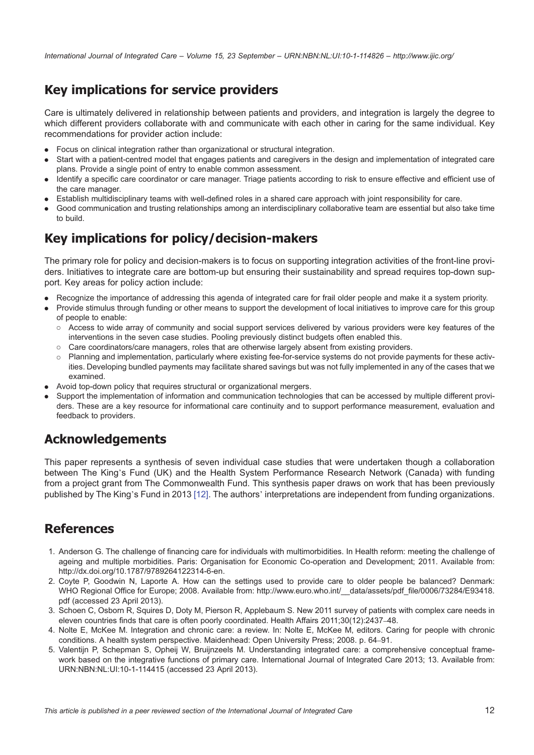# <span id="page-11-0"></span>Key implications for service providers

Care is ultimately delivered in relationship between patients and providers, and integration is largely the degree to which different providers collaborate with and communicate with each other in caring for the same individual. Key recommendations for provider action include:

- . Focus on clinical integration rather than organizational or structural integration.
- . Start with a patient-centred model that engages patients and caregivers in the design and implementation of integrated care plans. Provide a single point of entry to enable common assessment.
- . Identify a specific care coordinator or care manager. Triage patients according to risk to ensure effective and efficient use of the care manager.
- . Establish multidisciplinary teams with well-defined roles in a shared care approach with joint responsibility for care.
- . Good communication and trusting relationships among an interdisciplinary collaborative team are essential but also take time to build.

# Key implications for policy/decision-makers

The primary role for policy and decision-makers is to focus on supporting integration activities of the front-line providers. Initiatives to integrate care are bottom-up but ensuring their sustainability and spread requires top-down support. Key areas for policy action include:

- . Recognize the importance of addressing this agenda of integrated care for frail older people and make it a system priority.
- . Provide stimulus through funding or other means to support the development of local initiatives to improve care for this group of people to enable:
	- Access to wide array of community and social support services delivered by various providers were key features of the interventions in the seven case studies. Pooling previously distinct budgets often enabled this.
	- Care coordinators/care managers, roles that are otherwise largely absent from existing providers.
	- Planning and implementation, particularly where existing fee-for-service systems do not provide payments for these activities. Developing bundled payments may facilitate shared savings but was not fully implemented in any of the cases that we examined.
- . Avoid top-down policy that requires structural or organizational mergers.
- . Support the implementation of information and communication technologies that can be accessed by multiple different providers. These are a key resource for informational care continuity and to support performance measurement, evaluation and feedback to providers.

# Acknowledgements

This paper represents a synthesis of seven individual case studies that were undertaken though a collaboration between The King's Fund (UK) and the Health System Performance Research Network (Canada) with funding from a project grant from The Commonwealth Fund. This synthesis paper draws on work that has been previously published by The King's Fund in 2013 [\[12\]](#page-12-0). The authors' interpretations are independent from funding organizations.

### References

- 1. Anderson G. The challenge of financing care for individuals with multimorbidities. In Health reform: meeting the challenge of ageing and multiple morbidities. Paris: Organisation for Economic Co-operation and Development; 2011. Available from: <http://dx.doi.org/10.1787/9789264122314-6-en>.
- 2. Coyte P, Goodwin N, Laporte A. How can the settings used to provide care to older people be balanced? Denmark: WHO Regional Office for Europe; 2008. Available from: http://www.euro.who.int/ data/assets/pdf\_file/0006/73284/E93418. [pdf](http://www.euro.who.int/__data/assets/pdf_file/0006/73284/E93418.pdf) (accessed 23 April 2013).
- 3. Schoen C, Osborn R, Squires D, Doty M, Pierson R, Applebaum S. New 2011 survey of patients with complex care needs in eleven countries finds that care is often poorly coordinated. Health Affairs 2011;30(12):2437–48.
- 4. Nolte E, McKee M. Integration and chronic care: a review. In: Nolte E, McKee M, editors. Caring for people with chronic conditions. A health system perspective. Maidenhead: Open University Press; 2008. p. 64–91.
- 5. Valentijn P, Schepman S, Opheij W, Bruijnzeels M. Understanding integrated care: a comprehensive conceptual framework based on the integrative functions of primary care. International Journal of Integrated Care 2013; 13. Available from: [URN:NBN:NL:UI:10-1-114415](http://persistent-identifier.nl/?identifier=URN:NBN:NL:UI:10-1-114415) (accessed 23 April 2013).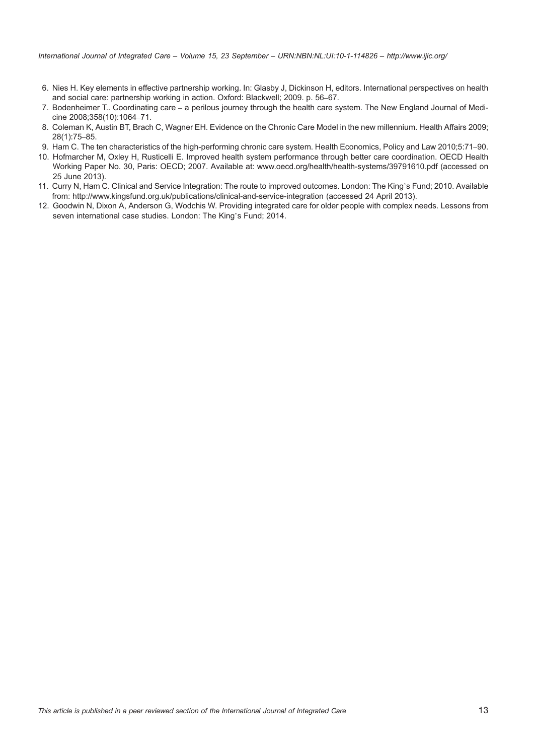- <span id="page-12-0"></span>6. Nies H. Key elements in effective partnership working. In: Glasby J, Dickinson H, editors. International perspectives on health and social care: partnership working in action. Oxford: Blackwell; 2009. p. 56–67.
- 7. Bodenheimer T.. Coordinating care a perilous journey through the health care system. The New England Journal of Medicine 2008;358(10):1064–71.
- 8. Coleman K, Austin BT, Brach C, Wagner EH. Evidence on the Chronic Care Model in the new millennium. Health Affairs 2009; 28(1):75–85.
- 9. Ham C. The ten characteristics of the high-performing chronic care system. Health Economics, Policy and Law 2010;5:71–90.
- 10. Hofmarcher M, Oxley H, Rusticelli E. Improved health system performance through better care coordination. OECD Health Working Paper No. 30, Paris: OECD; 2007. Available at:<www.oecd.org/health/health-systems/39791610.pdf> (accessed on 25 June 2013).
- 11. Curry N, Ham C. Clinical and Service Integration: The route to improved outcomes. London: The King's Fund; 2010. Available from:<http://www.kingsfund.org.uk/publications/clinical-and-service-integration> (accessed 24 April 2013).
- 12. Goodwin N, Dixon A, Anderson G, Wodchis W. Providing integrated care for older people with complex needs. Lessons from seven international case studies. London: The King's Fund; 2014.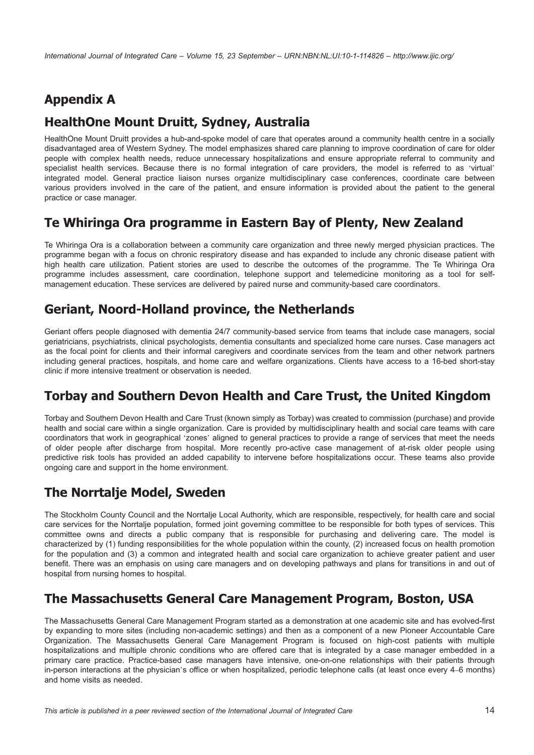# Appendix A

## HealthOne Mount Druitt, Sydney, Australia

HealthOne Mount Druitt provides a hub-and-spoke model of care that operates around a community health centre in a socially disadvantaged area of Western Sydney. The model emphasizes shared care planning to improve coordination of care for older people with complex health needs, reduce unnecessary hospitalizations and ensure appropriate referral to community and specialist health services. Because there is no formal integration of care providers, the model is referred to as 'virtual' integrated model. General practice liaison nurses organize multidisciplinary case conferences, coordinate care between various providers involved in the care of the patient, and ensure information is provided about the patient to the general practice or case manager.

### Te Whiringa Ora programme in Eastern Bay of Plenty, New Zealand

Te Whiringa Ora is a collaboration between a community care organization and three newly merged physician practices. The programme began with a focus on chronic respiratory disease and has expanded to include any chronic disease patient with high health care utilization. Patient stories are used to describe the outcomes of the programme. The Te Whiringa Ora programme includes assessment, care coordination, telephone support and telemedicine monitoring as a tool for selfmanagement education. These services are delivered by paired nurse and community-based care coordinators.

## Geriant, Noord-Holland province, the Netherlands

Geriant offers people diagnosed with dementia 24/7 community-based service from teams that include case managers, social geriatricians, psychiatrists, clinical psychologists, dementia consultants and specialized home care nurses. Case managers act as the focal point for clients and their informal caregivers and coordinate services from the team and other network partners including general practices, hospitals, and home care and welfare organizations. Clients have access to a 16-bed short-stay clinic if more intensive treatment or observation is needed.

# Torbay and Southern Devon Health and Care Trust, the United Kingdom

Torbay and Southern Devon Health and Care Trust (known simply as Torbay) was created to commission (purchase) and provide health and social care within a single organization. Care is provided by multidisciplinary health and social care teams with care coordinators that work in geographical 'zones' aligned to general practices to provide a range of services that meet the needs of older people after discharge from hospital. More recently pro-active case management of at-risk older people using predictive risk tools has provided an added capability to intervene before hospitalizations occur. These teams also provide ongoing care and support in the home environment.

# The Norrtalje Model, Sweden

The Stockholm County Council and the Norrtalje Local Authority, which are responsible, respectively, for health care and social care services for the Norrtalje population, formed joint governing committee to be responsible for both types of services. This committee owns and directs a public company that is responsible for purchasing and delivering care. The model is characterized by (1) funding responsibilities for the whole population within the county, (2) increased focus on health promotion for the population and (3) a common and integrated health and social care organization to achieve greater patient and user benefit. There was an emphasis on using care managers and on developing pathways and plans for transitions in and out of hospital from nursing homes to hospital.

### The Massachusetts General Care Management Program, Boston, USA

The Massachusetts General Care Management Program started as a demonstration at one academic site and has evolved-first by expanding to more sites (including non-academic settings) and then as a component of a new Pioneer Accountable Care Organization. The Massachusetts General Care Management Program is focused on high-cost patients with multiple hospitalizations and multiple chronic conditions who are offered care that is integrated by a case manager embedded in a primary care practice. Practice-based case managers have intensive, one-on-one relationships with their patients through in-person interactions at the physician's office or when hospitalized, periodic telephone calls (at least once every 4–6 months) and home visits as needed.